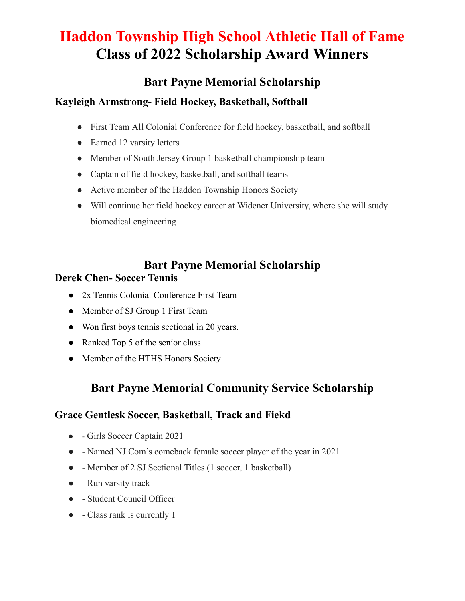# **Haddon Township High School Athletic Hall of Fame Class of 2022 Scholarship Award Winners**

### **Bart Payne Memorial Scholarship**

### **Kayleigh Armstrong- Field Hockey, Basketball, Softball**

- First Team All Colonial Conference for field hockey, basketball, and softball
- Earned 12 varsity letters
- Member of South Jersey Group 1 basketball championship team
- Captain of field hockey, basketball, and softball teams
- Active member of the Haddon Township Honors Society
- Will continue her field hockey career at Widener University, where she will study biomedical engineering

#### **Bart Payne Memorial Scholarship Derek Chen- Soccer Tennis**

## • 2x Tennis Colonial Conference First Team

- Member of SJ Group 1 First Team
- Won first boys tennis sectional in 20 years.
- Ranked Top 5 of the senior class
- Member of the HTHS Honors Society

## **Bart Payne Memorial Community Service Scholarship**

### **Grace Gentlesk Soccer, Basketball, Track and Fiekd**

- - Girls Soccer Captain 2021
- - Named NJ.Com's comeback female soccer player of the year in 2021
- - Member of 2 SJ Sectional Titles (1 soccer, 1 basketball)
- - Run varsity track
- - Student Council Officer
- - Class rank is currently 1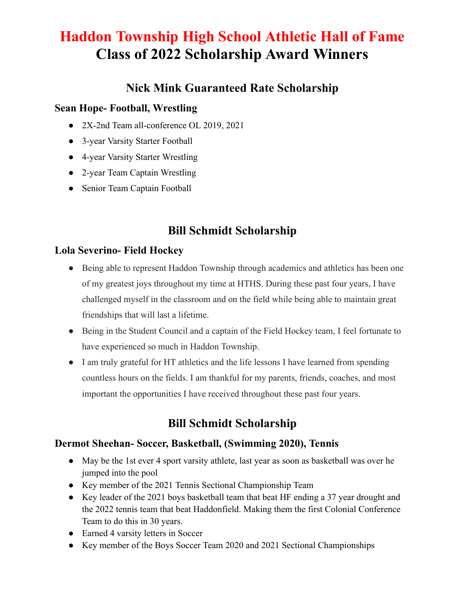# **Haddon Township High School Athletic Hall of Fame Class of 2022 Scholarship Award Winners**

### **Nick Mink Guaranteed Rate Scholarship**

#### **Sean Hope- Football, Wrestling**

- 2X-2nd Team all-conference OL 2019, 2021
- 3-year Varsity Starter Football
- 4-year Varsity Starter Wrestling
- 2-year Team Captain Wrestling
- Senior Team Captain Football

## **Bill Schmidt Scholarship**

#### **Lola Severino- Field Hockey**

- Being able to represent Haddon Township through academics and athletics has been one of my greatest joys throughout my time at HTHS. During these past four years, I have challenged myself in the classroom and on the field while being able to maintain great friendships that will last a lifetime.
- Being in the Student Council and a captain of the Field Hockey team, I feel fortunate to have experienced so much in Haddon Township.
- I am truly grateful for HT athletics and the life lessons I have learned from spending countless hours on the fields. I am thankful for my parents, friends, coaches, and most important the opportunities I have received throughout these past four years.

## **Bill Schmidt Scholarship**

#### **Dermot Sheehan- Soccer, Basketball, (Swimming 2020), Tennis**

- May be the 1st ever 4 sport varsity athlete, last year as soon as basketball was over he jumped into the pool
- Key member of the 2021 Tennis Sectional Championship Team
- Key leader of the 2021 boys basketball team that beat HF ending a 37 year drought and the 2022 tennis team that beat Haddonfield. Making them the first Colonial Conference Team to do this in 30 years.
- Earned 4 varsity letters in Soccer
- Key member of the Boys Soccer Team 2020 and 2021 Sectional Championships